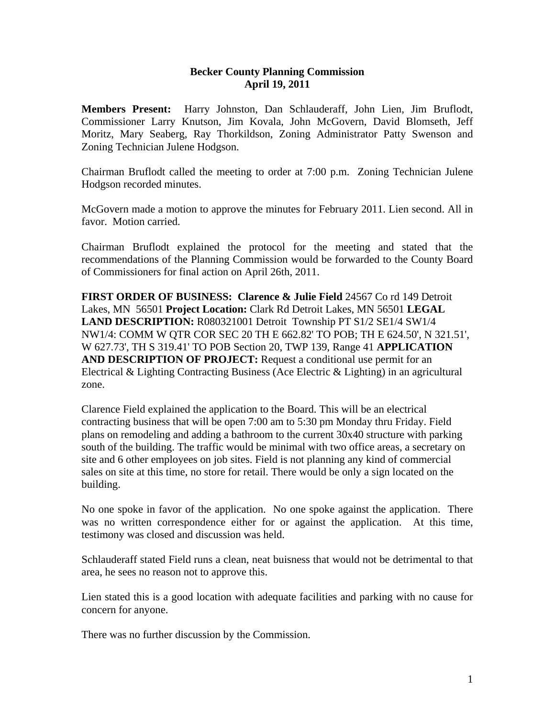## **Becker County Planning Commission April 19, 2011**

**Members Present:** Harry Johnston, Dan Schlauderaff, John Lien, Jim Bruflodt, Commissioner Larry Knutson, Jim Kovala, John McGovern, David Blomseth, Jeff Moritz, Mary Seaberg, Ray Thorkildson, Zoning Administrator Patty Swenson and Zoning Technician Julene Hodgson.

Chairman Bruflodt called the meeting to order at 7:00 p.m. Zoning Technician Julene Hodgson recorded minutes.

McGovern made a motion to approve the minutes for February 2011. Lien second. All in favor. Motion carried.

Chairman Bruflodt explained the protocol for the meeting and stated that the recommendations of the Planning Commission would be forwarded to the County Board of Commissioners for final action on April 26th, 2011.

**FIRST ORDER OF BUSINESS: Clarence & Julie Field** 24567 Co rd 149 Detroit Lakes, MN 56501 **Project Location:** Clark Rd Detroit Lakes, MN 56501 **LEGAL LAND DESCRIPTION:** R080321001 Detroit Township PT S1/2 SE1/4 SW1/4 NW1/4: COMM W QTR COR SEC 20 TH E 662.82' TO POB; TH E 624.50', N 321.51', W 627.73', TH S 319.41' TO POB Section 20, TWP 139, Range 41 **APPLICATION AND DESCRIPTION OF PROJECT:** Request a conditional use permit for an Electrical & Lighting Contracting Business (Ace Electric & Lighting) in an agricultural zone.

Clarence Field explained the application to the Board. This will be an electrical contracting business that will be open 7:00 am to 5:30 pm Monday thru Friday. Field plans on remodeling and adding a bathroom to the current 30x40 structure with parking south of the building. The traffic would be minimal with two office areas, a secretary on site and 6 other employees on job sites. Field is not planning any kind of commercial sales on site at this time, no store for retail. There would be only a sign located on the building.

No one spoke in favor of the application. No one spoke against the application. There was no written correspondence either for or against the application. At this time, testimony was closed and discussion was held.

Schlauderaff stated Field runs a clean, neat buisness that would not be detrimental to that area, he sees no reason not to approve this.

Lien stated this is a good location with adequate facilities and parking with no cause for concern for anyone.

There was no further discussion by the Commission.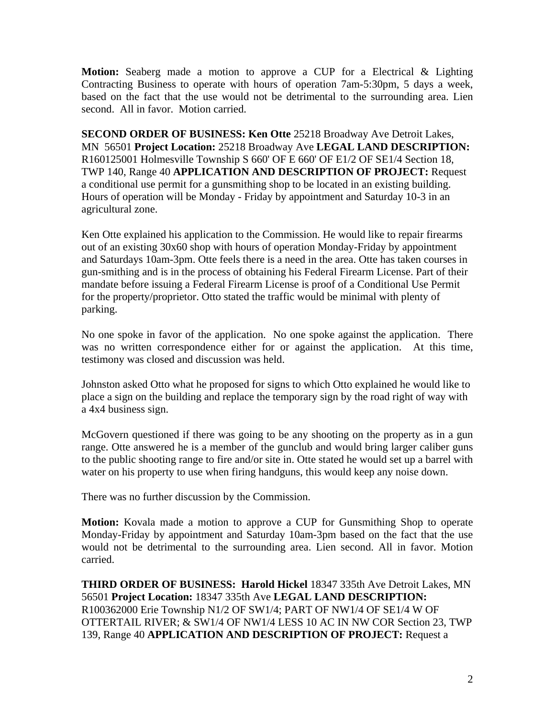**Motion:** Seaberg made a motion to approve a CUP for a Electrical & Lighting Contracting Business to operate with hours of operation 7am-5:30pm, 5 days a week, based on the fact that the use would not be detrimental to the surrounding area. Lien second. All in favor. Motion carried.

**SECOND ORDER OF BUSINESS: Ken Otte** 25218 Broadway Ave Detroit Lakes, MN 56501 **Project Location:** 25218 Broadway Ave **LEGAL LAND DESCRIPTION:** R160125001 Holmesville Township S 660' OF E 660' OF E1/2 OF SE1/4 Section 18, TWP 140, Range 40 **APPLICATION AND DESCRIPTION OF PROJECT:** Request a conditional use permit for a gunsmithing shop to be located in an existing building. Hours of operation will be Monday - Friday by appointment and Saturday 10-3 in an agricultural zone.

Ken Otte explained his application to the Commission. He would like to repair firearms out of an existing 30x60 shop with hours of operation Monday-Friday by appointment and Saturdays 10am-3pm. Otte feels there is a need in the area. Otte has taken courses in gun-smithing and is in the process of obtaining his Federal Firearm License. Part of their mandate before issuing a Federal Firearm License is proof of a Conditional Use Permit for the property/proprietor. Otto stated the traffic would be minimal with plenty of parking.

No one spoke in favor of the application. No one spoke against the application. There was no written correspondence either for or against the application. At this time, testimony was closed and discussion was held.

Johnston asked Otto what he proposed for signs to which Otto explained he would like to place a sign on the building and replace the temporary sign by the road right of way with a 4x4 business sign.

McGovern questioned if there was going to be any shooting on the property as in a gun range. Otte answered he is a member of the gunclub and would bring larger caliber guns to the public shooting range to fire and/or site in. Otte stated he would set up a barrel with water on his property to use when firing handguns, this would keep any noise down.

There was no further discussion by the Commission.

**Motion:** Kovala made a motion to approve a CUP for Gunsmithing Shop to operate Monday-Friday by appointment and Saturday 10am-3pm based on the fact that the use would not be detrimental to the surrounding area. Lien second. All in favor. Motion carried.

**THIRD ORDER OF BUSINESS: Harold Hickel** 18347 335th Ave Detroit Lakes, MN 56501 **Project Location:** 18347 335th Ave **LEGAL LAND DESCRIPTION:** R100362000 Erie Township N1/2 OF SW1/4; PART OF NW1/4 OF SE1/4 W OF OTTERTAIL RIVER; & SW1/4 OF NW1/4 LESS 10 AC IN NW COR Section 23, TWP 139, Range 40 **APPLICATION AND DESCRIPTION OF PROJECT:** Request a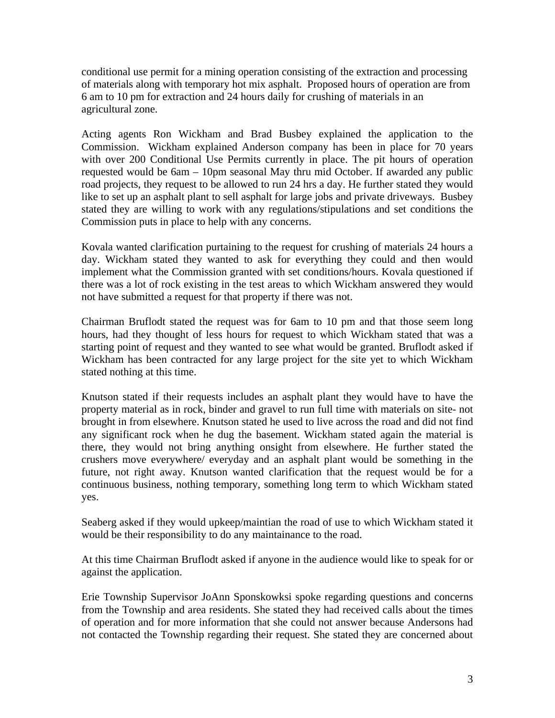conditional use permit for a mining operation consisting of the extraction and processing of materials along with temporary hot mix asphalt. Proposed hours of operation are from 6 am to 10 pm for extraction and 24 hours daily for crushing of materials in an agricultural zone.

Acting agents Ron Wickham and Brad Busbey explained the application to the Commission. Wickham explained Anderson company has been in place for 70 years with over 200 Conditional Use Permits currently in place. The pit hours of operation requested would be 6am – 10pm seasonal May thru mid October. If awarded any public road projects, they request to be allowed to run 24 hrs a day. He further stated they would like to set up an asphalt plant to sell asphalt for large jobs and private driveways. Busbey stated they are willing to work with any regulations/stipulations and set conditions the Commission puts in place to help with any concerns.

Kovala wanted clarification purtaining to the request for crushing of materials 24 hours a day. Wickham stated they wanted to ask for everything they could and then would implement what the Commission granted with set conditions/hours. Kovala questioned if there was a lot of rock existing in the test areas to which Wickham answered they would not have submitted a request for that property if there was not.

Chairman Bruflodt stated the request was for 6am to 10 pm and that those seem long hours, had they thought of less hours for request to which Wickham stated that was a starting point of request and they wanted to see what would be granted. Bruflodt asked if Wickham has been contracted for any large project for the site yet to which Wickham stated nothing at this time.

Knutson stated if their requests includes an asphalt plant they would have to have the property material as in rock, binder and gravel to run full time with materials on site- not brought in from elsewhere. Knutson stated he used to live across the road and did not find any significant rock when he dug the basement. Wickham stated again the material is there, they would not bring anything onsight from elsewhere. He further stated the crushers move everywhere/ everyday and an asphalt plant would be something in the future, not right away. Knutson wanted clarification that the request would be for a continuous business, nothing temporary, something long term to which Wickham stated yes.

Seaberg asked if they would upkeep/maintian the road of use to which Wickham stated it would be their responsibility to do any maintainance to the road.

At this time Chairman Bruflodt asked if anyone in the audience would like to speak for or against the application.

Erie Township Supervisor JoAnn Sponskowksi spoke regarding questions and concerns from the Township and area residents. She stated they had received calls about the times of operation and for more information that she could not answer because Andersons had not contacted the Township regarding their request. She stated they are concerned about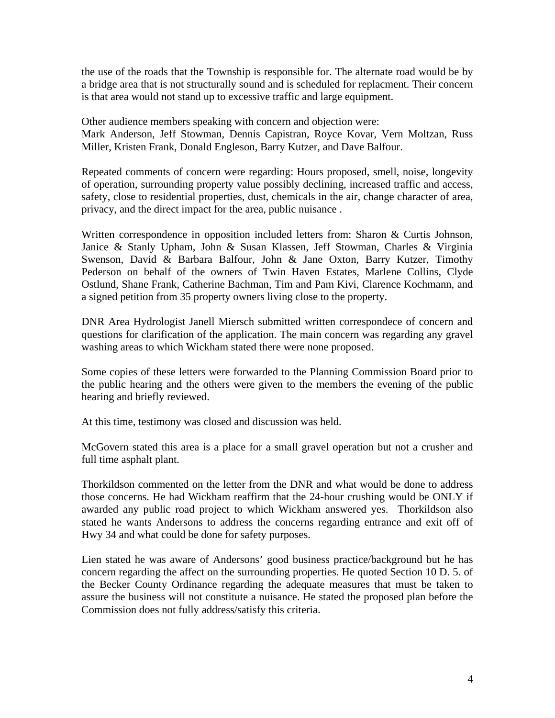the use of the roads that the Township is responsible for. The alternate road would be by a bridge area that is not structurally sound and is scheduled for replacment. Their concern is that area would not stand up to excessive traffic and large equipment.

Other audience members speaking with concern and objection were: Mark Anderson, Jeff Stowman, Dennis Capistran, Royce Kovar, Vern Moltzan, Russ Miller, Kristen Frank, Donald Engleson, Barry Kutzer, and Dave Balfour.

Repeated comments of concern were regarding: Hours proposed, smell, noise, longevity of operation, surrounding property value possibly declining, increased traffic and access, safety, close to residential properties, dust, chemicals in the air, change character of area, privacy, and the direct impact for the area, public nuisance .

Written correspondence in opposition included letters from: Sharon & Curtis Johnson, Janice & Stanly Upham, John & Susan Klassen, Jeff Stowman, Charles & Virginia Swenson, David & Barbara Balfour, John & Jane Oxton, Barry Kutzer, Timothy Pederson on behalf of the owners of Twin Haven Estates, Marlene Collins, Clyde Ostlund, Shane Frank, Catherine Bachman, Tim and Pam Kivi, Clarence Kochmann, and a signed petition from 35 property owners living close to the property.

DNR Area Hydrologist Janell Miersch submitted written correspondece of concern and questions for clarification of the application. The main concern was regarding any gravel washing areas to which Wickham stated there were none proposed.

Some copies of these letters were forwarded to the Planning Commission Board prior to the public hearing and the others were given to the members the evening of the public hearing and briefly reviewed.

At this time, testimony was closed and discussion was held.

McGovern stated this area is a place for a small gravel operation but not a crusher and full time asphalt plant.

Thorkildson commented on the letter from the DNR and what would be done to address those concerns. He had Wickham reaffirm that the 24-hour crushing would be ONLY if awarded any public road project to which Wickham answered yes. Thorkildson also stated he wants Andersons to address the concerns regarding entrance and exit off of Hwy 34 and what could be done for safety purposes.

Lien stated he was aware of Andersons' good business practice/background but he has concern regarding the affect on the surrounding properties. He quoted Section 10 D. 5. of the Becker County Ordinance regarding the adequate measures that must be taken to assure the business will not constitute a nuisance. He stated the proposed plan before the Commission does not fully address/satisfy this criteria.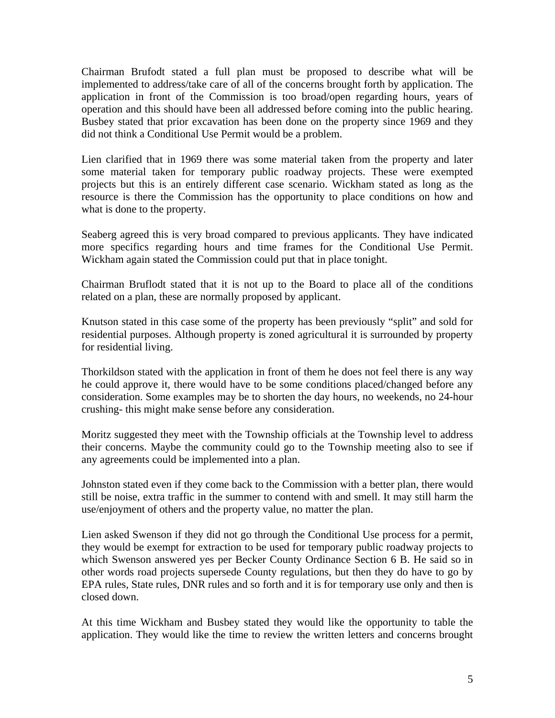Chairman Brufodt stated a full plan must be proposed to describe what will be implemented to address/take care of all of the concerns brought forth by application. The application in front of the Commission is too broad/open regarding hours, years of operation and this should have been all addressed before coming into the public hearing. Busbey stated that prior excavation has been done on the property since 1969 and they did not think a Conditional Use Permit would be a problem.

Lien clarified that in 1969 there was some material taken from the property and later some material taken for temporary public roadway projects. These were exempted projects but this is an entirely different case scenario. Wickham stated as long as the resource is there the Commission has the opportunity to place conditions on how and what is done to the property.

Seaberg agreed this is very broad compared to previous applicants. They have indicated more specifics regarding hours and time frames for the Conditional Use Permit. Wickham again stated the Commission could put that in place tonight.

Chairman Bruflodt stated that it is not up to the Board to place all of the conditions related on a plan, these are normally proposed by applicant.

Knutson stated in this case some of the property has been previously "split" and sold for residential purposes. Although property is zoned agricultural it is surrounded by property for residential living.

Thorkildson stated with the application in front of them he does not feel there is any way he could approve it, there would have to be some conditions placed/changed before any consideration. Some examples may be to shorten the day hours, no weekends, no 24-hour crushing- this might make sense before any consideration.

Moritz suggested they meet with the Township officials at the Township level to address their concerns. Maybe the community could go to the Township meeting also to see if any agreements could be implemented into a plan.

Johnston stated even if they come back to the Commission with a better plan, there would still be noise, extra traffic in the summer to contend with and smell. It may still harm the use/enjoyment of others and the property value, no matter the plan.

Lien asked Swenson if they did not go through the Conditional Use process for a permit, they would be exempt for extraction to be used for temporary public roadway projects to which Swenson answered yes per Becker County Ordinance Section 6 B. He said so in other words road projects supersede County regulations, but then they do have to go by EPA rules, State rules, DNR rules and so forth and it is for temporary use only and then is closed down.

At this time Wickham and Busbey stated they would like the opportunity to table the application. They would like the time to review the written letters and concerns brought